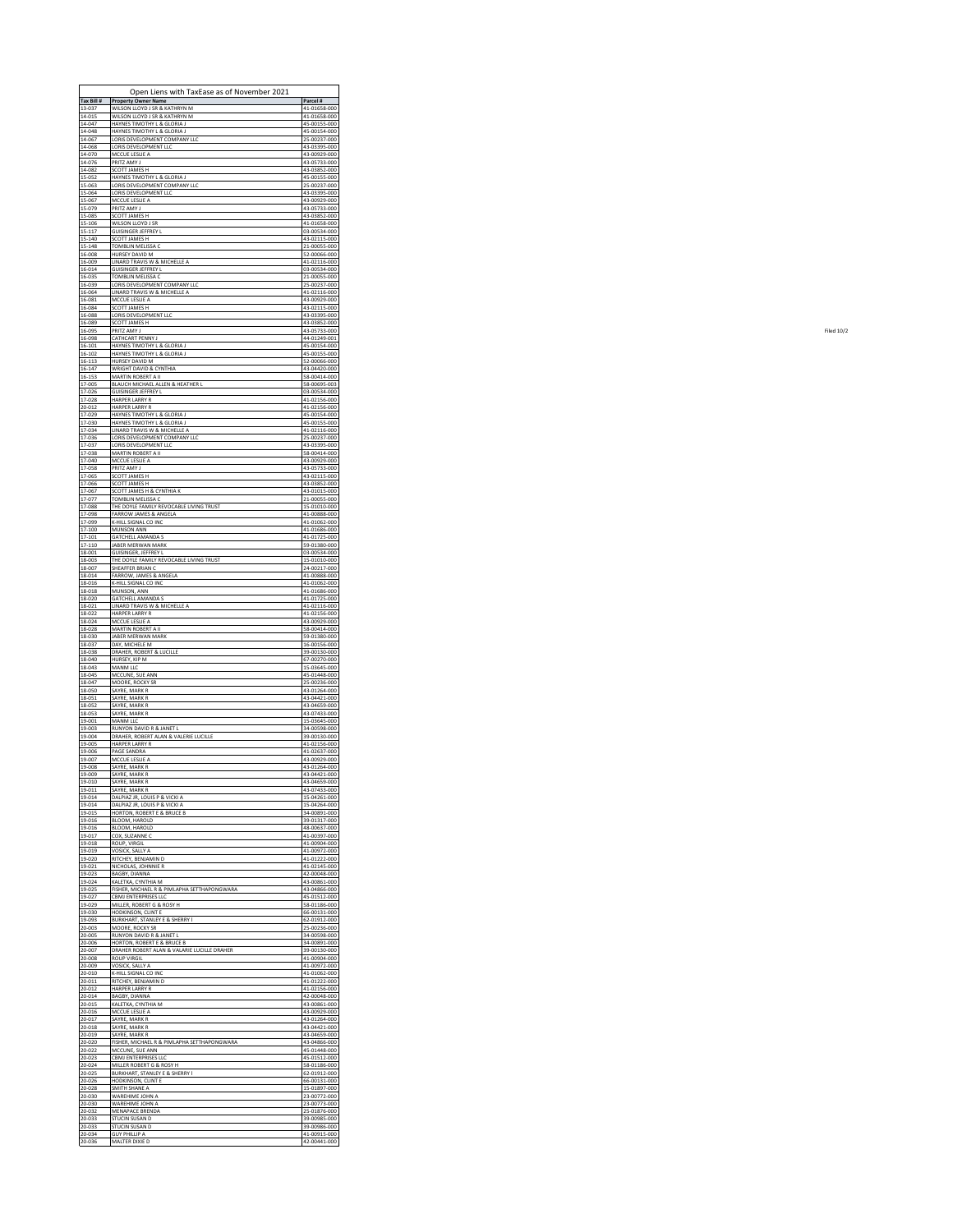| Tax Bill #                 | Open Liens with TaxEase as of November 2021<br><b>Property Owner Name</b>              | Parcel #                                     |
|----------------------------|----------------------------------------------------------------------------------------|----------------------------------------------|
| 13-037                     | WILSON LLOYD J SR & KATHRYN M                                                          | 41-01658-000                                 |
| 14-015                     | WILSON LLOYD J SR & KATHRYN M                                                          | 41-01658-000                                 |
| 14-047                     | HAYNES TIMOTHY L & GLORIA J                                                            | 45-00155-000                                 |
| 14-048                     | HAYNES TIMOTHY I & GLORIA I                                                            | 45-00154-000                                 |
| 14-067                     | ORIS DEVELOPMENT COMPANY LLC                                                           | 25-00237-000                                 |
| 14-068                     | LORIS DEVELOPMENT LLC                                                                  | 43-03395-000                                 |
| 14-070                     | MCCUE LESLIE A                                                                         | 43-00929-000                                 |
| 14-076                     | PRITZ AMY J                                                                            | 43-05733-000                                 |
| 14-082                     | SCOTT JAMES H                                                                          | 43-03852-000                                 |
| 15-052                     | HAYNES TIMOTHY L & GLORIA J                                                            | 45-00155-000                                 |
| 15-063                     | LORIS DEVELOPMENT COMPANY LLC                                                          | 25-00237-000                                 |
| 15-064                     | LORIS DEVELOPMENT LLC                                                                  | 43-03395-000                                 |
| 15-067                     | MCCUE LESLIE A                                                                         | 43-00929-000                                 |
| 15-079                     | PRITZ AMY J                                                                            | 43-05733-000                                 |
| 15-085                     | SCOTT JAMES H                                                                          | 43-03852-000                                 |
| $15 - 106$                 | WILSON LLOYD J SR                                                                      | 41-01658-000                                 |
| $15 - 117$                 | <b>GUISINGER JEFFREY L</b>                                                             | 03-00534-000                                 |
| 15-140                     | SCOTT JAMES H                                                                          | 43-02115-000                                 |
| 15-148                     | TOMBLIN MELISSA C                                                                      | 21-00055-000                                 |
| 16-008                     | HURSEY DAVID M                                                                         | 52-00066-000                                 |
| 16-009                     | LINARD TRAVIS W & MICHELLE A                                                           | 41-02116-000                                 |
| 16-014                     | <b>GUISINGER JEFFREY L</b>                                                             | 03-00534-000                                 |
| 16-035                     | <b>TOMBLIN MELISSA C</b>                                                               | 21-00055-000                                 |
| 16-039                     | ORIS DEVELOPMENT COMPANY LLC                                                           | 25-00237-000                                 |
| 16-064                     | LINARD TRAVIS W & MICHELLE A                                                           | 41-02116-000                                 |
| 16-081                     | MCCUE LESLIE A                                                                         | 43-00929-000                                 |
| 16-084                     | SCOTT JAMES H                                                                          | 43-02115-000                                 |
| 16-088                     | LORIS DEVELOPMENT LLC                                                                  | 43-03395-000                                 |
| 16-089                     | SCOTT JAMES H                                                                          | 43-03852-000                                 |
| 16-095                     | RITZ AMY J                                                                             | 43-05733-000                                 |
| 16-098                     | CATHCART PENNY J                                                                       | 44-01249-001                                 |
| 16-101                     | HAYNES TIMOTHY L & GLORIA J                                                            | 45-00154-000                                 |
| 16-102                     | HAYNES TIMOTHY L & GLORIA J                                                            | 45-00155-000                                 |
| $16 - 113$                 | HURSEY DAVID M                                                                         | 52-00066-000                                 |
| 16-147                     | WRIGHT DAVID & CYNTHIA                                                                 | 43-04420-000                                 |
| 16-153                     | MARTIN ROBERT A II                                                                     | 58-00414-000                                 |
| 17-005                     | BLAUCH MICHAEL ALLEN & HEATHER L                                                       | 58-00695-003                                 |
| 17-026<br>17-028           | <b>GUISINGER JEFFREY L</b><br><b>HARPER LARRY R</b><br><b>HARPER LARRY R</b>           | 03-00534-000<br>41-02156-000                 |
| 20-012<br>17-029<br>17-030 | HAYNES TIMOTHY L & GLORIA J<br>HAYNES TIMOTHY L & GLORIA J                             | 41-02156-000<br>45-00154-000<br>45-00155-000 |
| 17-034<br>17-036           | LINARD TRAVIS W & MICHELLE A<br>LORIS DEVELOPMENT COMPANY LLC<br>LORIS DEVELOPMENT LLC | 41-02116-000<br>25-00237-000<br>43-03395-000 |
| 17-037<br>17-038<br>17-040 | MARTIN ROBERT A II<br>MCCUE LESLIE A                                                   | 58-00414-000<br>43-00929-000                 |
| 17-058                     | PRITZ AMY J                                                                            | 43-05733-000                                 |
| 17-065                     | SCOTT JAMES H                                                                          | 43-02115-000                                 |
| 17-066                     | SCOTT JAMES H                                                                          | 43-03852-000                                 |
| 17-067                     | SCOTT JAMES H & CYNTHIA K                                                              | 43-01015-000                                 |
| 17-077                     | TOMBLIN MELISSA C                                                                      | 21-00055-000                                 |
| 17-088                     | THE DOYLE FAMILY REVOCABLE LIVING TRUST                                                | 15-01010-000                                 |
| 17-098                     | FARROW JAMES & ANGELA                                                                  | 41-00888-000                                 |
| 17-099                     | <b>C-HILL SIGNAL CO INC</b>                                                            | 41-01062-000                                 |
| 17-100                     | MUNSON ANN                                                                             | 41-01686-000                                 |
| 17-101                     | <b>GATCHELL AMANDA S</b>                                                               | 41-01725-000                                 |
| 17-110                     | JABER MERWAN MARK                                                                      | 59-01380-000                                 |
| 18-001                     | GUISINGER, JEFFREY L                                                                   | 03-00534-000                                 |
| 18-003                     | THE DOYLE FAMILY REVOCABLE LIVING TRUST                                                | 15-01010-000                                 |
| 18-007                     | SHEAFFER BRIAN C                                                                       | 24-00217-000                                 |
| 18-014                     | FARROW, JAMES & ANGELA                                                                 | 41-00888-000                                 |
| 18-016                     | -HILL SIGNAL CO INC                                                                    | 41-01062-000                                 |
| 18-018                     | MUNSON, ANN                                                                            | 41-01686-000                                 |
| 18-020                     | <b>GATCHELL AMANDA S</b>                                                               | 41-01725-000                                 |
| $18 - 021$                 | LINARD TRAVIS W & MICHELLE A                                                           | 41-02116-000                                 |
| 18-022                     | <b>HARPER LARRY R</b>                                                                  | 41-02156-000                                 |
| 18-024                     | MCCUE LESLIE A                                                                         | 43-00929-000                                 |
| 18-028                     | <b>MARTIN ROBERT A II</b>                                                              | 58-00414-000                                 |
| 18-030                     | JABER MERWAN MARK                                                                      | 59-01380-000                                 |
| 18-037                     | DAY, MICHELE M                                                                         | 16-00156-000                                 |
| 18-038                     | DRAHER, ROBERT & LUCILLE                                                               | 39-00130-000                                 |
| 18-040                     | HURSEY, KIP M                                                                          | 67-00270-000                                 |
| 18-043                     | MANM LLC                                                                               | 15-03645-000                                 |
| 18-045                     | MCCUNE, SUE ANN                                                                        | 45-01448-000                                 |
| 18-047                     | MOORE, ROCKY SR                                                                        | 25-00236-000                                 |
| 18-050                     | SAYRE, MARK R                                                                          | 43-01264-000                                 |
| 18-051                     | SAYRE, MARK R                                                                          | 43-04421-000                                 |
| 18-052                     | SAYRE, MARK R                                                                          | 43-04659-000                                 |
| 18-053                     | SAYRE, MARK R                                                                          | 43-07433-000                                 |
| 19-001                     | MANM LLC                                                                               | 15-03645-000                                 |
| 19-003                     | RUNYON DAVID R & JANET L                                                               | 34-00598-000                                 |
| 19-004                     | DRAHER, ROBERT ALAN & VALERIE LUCILLE                                                  | 39-00130-000                                 |
| 19-005                     | <b>HARPER LARRY R</b>                                                                  | 41-02156-000                                 |
| 19-006                     | PAGE SANDRA                                                                            | 41-02637-000                                 |
| 19-007                     | MCCUE LESLIE A                                                                         | 43-00929-000                                 |
| 19-008                     | SAYRE, MARK R                                                                          | 43-01264-000                                 |
| 19-009                     | SAYRE, MARK R                                                                          | 43-04421-000                                 |
| 19-010                     | SAYRE, MARK R                                                                          | 43-04659-000                                 |
| 19-011                     | SAYRE, MARK R                                                                          | 43-07433-000                                 |
| 19-014                     | DALPIAZ JR, LOUIS P & VICKI A                                                          | 15-04261-000                                 |
| 19-014                     | DALPIAZ JR, LOUIS P & VICKI A                                                          | 15-04264-000                                 |
| 19-015                     | HORTON, ROBERT E & BRUCE B                                                             | 34-00891-000                                 |
| 19-016                     | BLOOM, HAROLD                                                                          | 39-01317-000                                 |
| 19-016                     | BLOOM, HAROLD                                                                          | 48-00637-000                                 |
| 19-017                     | COX SUZANNE C                                                                          | 41-00397-000                                 |
| 19-018                     | ROUP, VIRGIL                                                                           | 41-00904-000                                 |
| 19-019                     | VOSICK, SALLY A                                                                        | 41-00972-000                                 |
| 19-020                     | RITCHEY, BENJAMIN D                                                                    | 41-01222-000                                 |
| 19-021                     | NICHOLAS, JOHNNIE R                                                                    | 41-02145-000                                 |
| 19-023                     | BAGBY, DIANNA                                                                          | 42-00048-000                                 |
| 19-024                     | KALETKA, CYNTHIA M                                                                     | 43-00861-000                                 |
| 19-025                     | FISHER, MICHAEL R & PIMLAPHA SETTHAPONGWARA                                            | 43-04866-000                                 |
| 19-027                     | CBMJ ENTERPRISES LLC                                                                   | 45-01512-000                                 |
| 19-029                     | MILLER, ROBERT G & ROSY H                                                              | 58-01186-000                                 |
| 19-030                     | HODKINSON, CLINT E                                                                     | 66-00131-000                                 |
| 19-093                     | BURKHART, STANLEY E & SHERRY I                                                         | 62-01912-000                                 |
| $20 - 003$                 | <b>MOORE, ROCKY SR</b>                                                                 | 25-00236-000                                 |
| $20 - 005$                 | RUNYON DAVID R & JANET L                                                               | 34-00598-000                                 |
| 20-006                     | HORTON, ROBERT F & BRUCE B                                                             | 34-00891-000                                 |
| 20-007                     | DRAHER ROBERT ALAN & VALARIE LUCILLE DRAHER                                            | 39-00130-000                                 |
| 20-008                     | ROUP VIRGIL                                                                            | 41-00904-000                                 |
| 20-009                     | VOSICK, SALLY A                                                                        | 41-00972-000                                 |
| 20-010                     | K-HILL SIGNAL CO INC                                                                   | 41-01062-000                                 |
| 20-011                     | RITCHEY, BENJAMIN D                                                                    | 41-01222-000                                 |
| $20 - 012$                 | <b>HARPER LARRY R</b>                                                                  | 41-02156-000                                 |
| 20-014                     | BAGBY, DIANNA                                                                          | 42-00048-000                                 |
| 20-015                     | KALETKA, CYNTHIA M                                                                     | 43-00861-000                                 |
| $20 - 016$                 | MCCUE LESLIE A                                                                         | 43-00929-000                                 |
| 20-017                     | SAYRE, MARK R                                                                          | 43-01264-000                                 |
| 20-018                     | SAYRE, MARK R                                                                          | 43-04421-000                                 |
| 20-019                     | SAYRE, MARK R                                                                          | 43-04659-000                                 |
| $20 - 020$                 | FISHER, MICHAEL R & PIMLAPHA SETTHAPONGWARA                                            | 43-04866-000                                 |
| 20-022                     | MCCUNE, SUE ANN                                                                        | 45-01448-000                                 |
| 20-023                     | CBMJ ENTERPRISES LLC                                                                   | 45-01512-000                                 |
| 20-024                     | MILLER ROBERT G & ROSY H                                                               | 58-01186-000                                 |
| 20-025                     | BURKHART, STANLEY E & SHERRY I                                                         | 62-01912-000                                 |
| 20-026                     | HODKINSON, CLINT E                                                                     | 66-00131-000                                 |
| 20-028                     | SMITH SHANE A                                                                          | 15-01897-000                                 |
| 20-030                     | WAREHIME JOHN A                                                                        | 23-00772-000                                 |
| 20-030                     | WAREHIME JOHN A                                                                        | 23-00773-000                                 |
| 20-032                     | <b>MENAPACE BRENDA</b>                                                                 | 25-01876-000                                 |
| 20-033                     | <b>STUCIN SUSAN D</b>                                                                  | 39-00985-000                                 |
| 20-033                     | STUCIN SUSAN D                                                                         | 39-00986-000                                 |
| 20-034                     | <b>GUY PHILLIP A</b>                                                                   | 41-00915-000                                 |
| 20-036                     | MALTER DIXIE D                                                                         | 42-00441-000                                 |
|                            |                                                                                        |                                              |